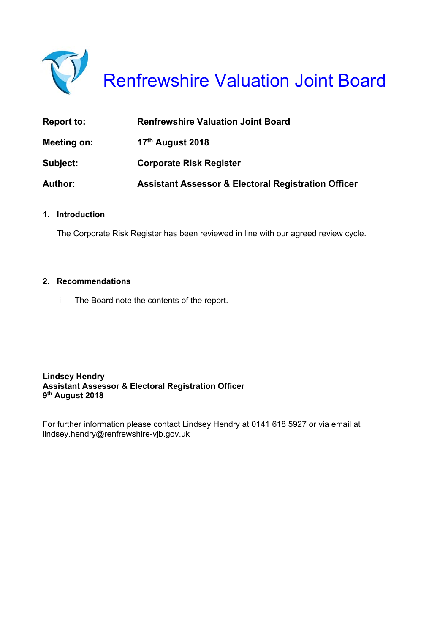

Renfrewshire Valuation Joint Board

| <b>Report to:</b> | <b>Renfrewshire Valuation Joint Board</b>                      |
|-------------------|----------------------------------------------------------------|
| Meeting on:       | 17 <sup>th</sup> August 2018                                   |
| Subject:          | <b>Corporate Risk Register</b>                                 |
| <b>Author:</b>    | <b>Assistant Assessor &amp; Electoral Registration Officer</b> |

#### **1. Introduction**

The Corporate Risk Register has been reviewed in line with our agreed review cycle.

#### **2. Recommendations**

i. The Board note the contents of the report.

**Lindsey Hendry Assistant Assessor & Electoral Registration Officer 9th August 2018** 

For further information please contact Lindsey Hendry at 0141 618 5927 or via email at lindsey.hendry@renfrewshire-vjb.gov.uk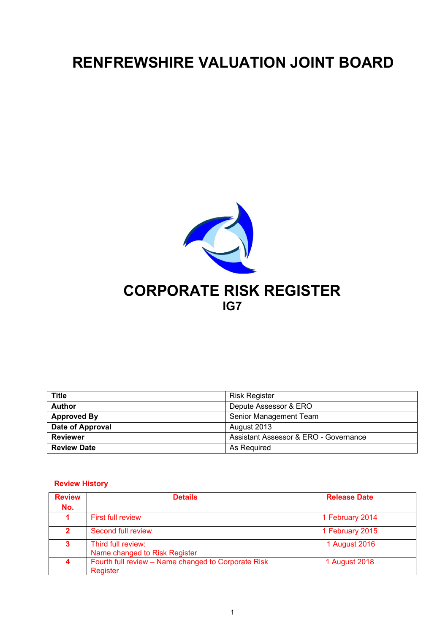## **RENFREWSHIRE VALUATION JOINT BOARD**



| <b>Title</b>       | <b>Risk Register</b>                  |
|--------------------|---------------------------------------|
| <b>Author</b>      | Depute Assessor & ERO                 |
| <b>Approved By</b> | Senior Management Team                |
| Date of Approval   | August 2013                           |
| <b>Reviewer</b>    | Assistant Assessor & ERO - Governance |
| <b>Review Date</b> | As Required                           |

#### **Review History**

| <b>Review</b> | <b>Details</b>                                                  | <b>Release Date</b> |
|---------------|-----------------------------------------------------------------|---------------------|
| No.           |                                                                 |                     |
|               | <b>First full review</b>                                        | 1 February 2014     |
| 2.            | Second full review                                              | 1 February 2015     |
| 3.            | Third full review:<br>Name changed to Risk Register             | 1 August 2016       |
|               | Fourth full review - Name changed to Corporate Risk<br>Register | 1 August 2018       |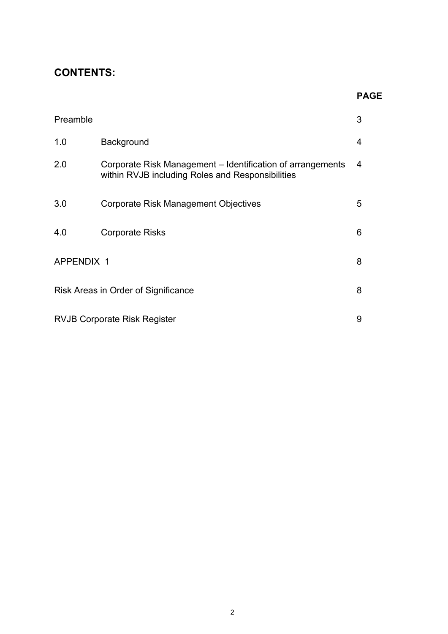### **CONTENTS:**

#### **PAGE**

| Preamble   |                                                                                                                | 3 |
|------------|----------------------------------------------------------------------------------------------------------------|---|
| 1.0        | <b>Background</b>                                                                                              | 4 |
| 2.0        | Corporate Risk Management - Identification of arrangements<br>within RVJB including Roles and Responsibilities | 4 |
| 3.0        | Corporate Risk Management Objectives                                                                           | 5 |
| 4.0        | <b>Corporate Risks</b>                                                                                         | 6 |
| APPENDIX 1 |                                                                                                                | 8 |
|            | Risk Areas in Order of Significance                                                                            | 8 |
|            | <b>RVJB Corporate Risk Register</b>                                                                            | 9 |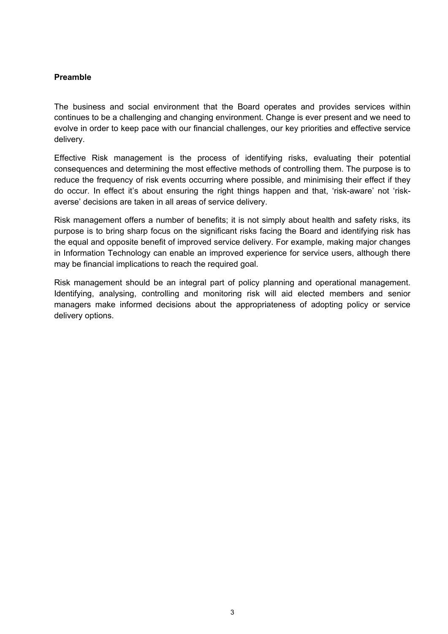#### **Preamble**

The business and social environment that the Board operates and provides services within continues to be a challenging and changing environment. Change is ever present and we need to evolve in order to keep pace with our financial challenges, our key priorities and effective service delivery.

Effective Risk management is the process of identifying risks, evaluating their potential consequences and determining the most effective methods of controlling them. The purpose is to reduce the frequency of risk events occurring where possible, and minimising their effect if they do occur. In effect it's about ensuring the right things happen and that, 'risk-aware' not 'riskaverse' decisions are taken in all areas of service delivery.

Risk management offers a number of benefits; it is not simply about health and safety risks, its purpose is to bring sharp focus on the significant risks facing the Board and identifying risk has the equal and opposite benefit of improved service delivery. For example, making major changes in Information Technology can enable an improved experience for service users, although there may be financial implications to reach the required goal.

Risk management should be an integral part of policy planning and operational management. Identifying, analysing, controlling and monitoring risk will aid elected members and senior managers make informed decisions about the appropriateness of adopting policy or service delivery options.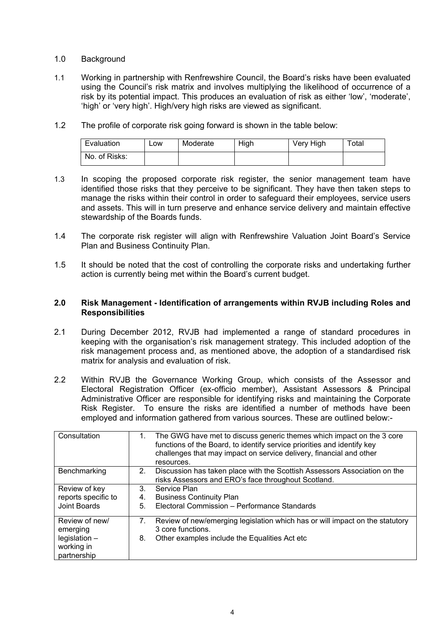#### 1.0 Background

- 1.1 Working in partnership with Renfrewshire Council, the Board's risks have been evaluated using the Council's risk matrix and involves multiplying the likelihood of occurrence of a risk by its potential impact. This produces an evaluation of risk as either 'low', 'moderate', 'high' or 'very high'. High/very high risks are viewed as significant.
- 1.2 The profile of corporate risk going forward is shown in the table below:

| Evaluation    | _ow | Moderate | High | Very High | ™otal |
|---------------|-----|----------|------|-----------|-------|
| No. of Risks: |     |          |      |           |       |

- 1.3 In scoping the proposed corporate risk register, the senior management team have identified those risks that they perceive to be significant. They have then taken steps to manage the risks within their control in order to safeguard their employees, service users and assets. This will in turn preserve and enhance service delivery and maintain effective stewardship of the Boards funds.
- 1.4 The corporate risk register will align with Renfrewshire Valuation Joint Board's Service Plan and Business Continuity Plan.
- 1.5 It should be noted that the cost of controlling the corporate risks and undertaking further action is currently being met within the Board's current budget.

#### **2.0 Risk Management - Identification of arrangements within RVJB including Roles and Responsibilities**

- 2.1 During December 2012, RVJB had implemented a range of standard procedures in keeping with the organisation's risk management strategy. This included adoption of the risk management process and, as mentioned above, the adoption of a standardised risk matrix for analysis and evaluation of risk.
- 2.2 Within RVJB the Governance Working Group, which consists of the Assessor and Electoral Registration Officer (ex-officio member), Assistant Assessors & Principal Administrative Officer are responsible for identifying risks and maintaining the Corporate Risk Register. To ensure the risks are identified a number of methods have been employed and information gathered from various sources. These are outlined below:-

| Consultation                                 | The GWG have met to discuss generic themes which impact on the 3 core<br>1.<br>functions of the Board, to identify service priorities and identify key<br>challenges that may impact on service delivery, financial and other<br>resources. |
|----------------------------------------------|---------------------------------------------------------------------------------------------------------------------------------------------------------------------------------------------------------------------------------------------|
| Benchmarking                                 | 2.<br>Discussion has taken place with the Scottish Assessors Association on the<br>risks Assessors and ERO's face throughout Scotland.                                                                                                      |
| Review of key                                | Service Plan<br>3.                                                                                                                                                                                                                          |
| reports specific to                          | <b>Business Continuity Plan</b><br>4.                                                                                                                                                                                                       |
| <b>Joint Boards</b>                          | Electoral Commission - Performance Standards<br>5.                                                                                                                                                                                          |
| Review of new/<br>emerging                   | Review of new/emerging legislation which has or will impact on the statutory<br>7.<br>3 core functions.                                                                                                                                     |
| $legislation -$<br>working in<br>partnership | Other examples include the Equalities Act etc<br>8.                                                                                                                                                                                         |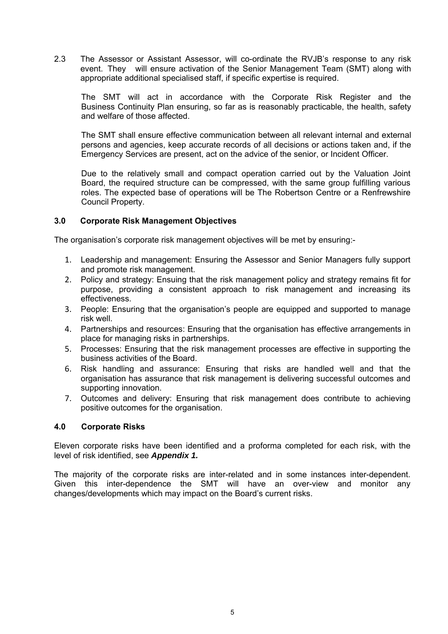2.3 The Assessor or Assistant Assessor, will co-ordinate the RVJB's response to any risk event. They will ensure activation of the Senior Management Team (SMT) along with appropriate additional specialised staff, if specific expertise is required.

 The SMT will act in accordance with the Corporate Risk Register and the Business Continuity Plan ensuring, so far as is reasonably practicable, the health, safety and welfare of those affected.

 The SMT shall ensure effective communication between all relevant internal and external persons and agencies, keep accurate records of all decisions or actions taken and, if the Emergency Services are present, act on the advice of the senior, or Incident Officer.

 Due to the relatively small and compact operation carried out by the Valuation Joint Board, the required structure can be compressed, with the same group fulfilling various roles. The expected base of operations will be The Robertson Centre or a Renfrewshire Council Property.

#### **3.0 Corporate Risk Management Objectives**

The organisation's corporate risk management objectives will be met by ensuring:-

- 1. Leadership and management: Ensuring the Assessor and Senior Managers fully support and promote risk management.
- 2. Policy and strategy: Ensuing that the risk management policy and strategy remains fit for purpose, providing a consistent approach to risk management and increasing its effectiveness.
- 3. People: Ensuring that the organisation's people are equipped and supported to manage risk well.
- 4. Partnerships and resources: Ensuring that the organisation has effective arrangements in place for managing risks in partnerships.
- 5. Processes: Ensuring that the risk management processes are effective in supporting the business activities of the Board.
- 6. Risk handling and assurance: Ensuring that risks are handled well and that the organisation has assurance that risk management is delivering successful outcomes and supporting innovation.
- 7. Outcomes and delivery: Ensuring that risk management does contribute to achieving positive outcomes for the organisation.

#### **4.0 Corporate Risks**

Eleven corporate risks have been identified and a proforma completed for each risk, with the level of risk identified, see *Appendix 1.* 

The majority of the corporate risks are inter-related and in some instances inter-dependent. Given this inter-dependence the SMT will have an over-view and monitor any changes/developments which may impact on the Board's current risks.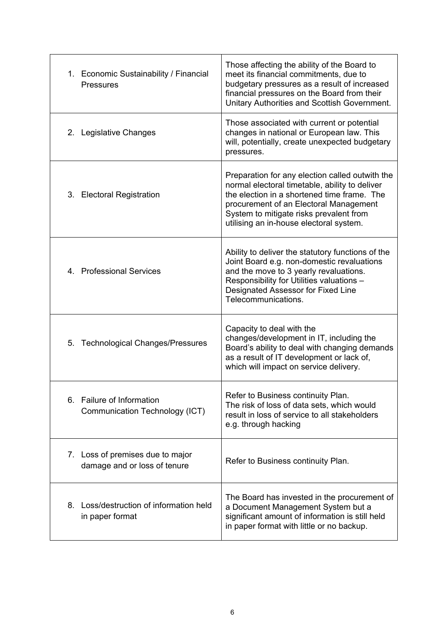| 1. Economic Sustainability / Financial<br><b>Pressures</b>       | Those affecting the ability of the Board to<br>meet its financial commitments, due to<br>budgetary pressures as a result of increased<br>financial pressures on the Board from their<br>Unitary Authorities and Scottish Government.                                             |
|------------------------------------------------------------------|----------------------------------------------------------------------------------------------------------------------------------------------------------------------------------------------------------------------------------------------------------------------------------|
| 2. Legislative Changes                                           | Those associated with current or potential<br>changes in national or European law. This<br>will, potentially, create unexpected budgetary<br>pressures.                                                                                                                          |
| 3. Electoral Registration                                        | Preparation for any election called outwith the<br>normal electoral timetable, ability to deliver<br>the election in a shortened time frame. The<br>procurement of an Electoral Management<br>System to mitigate risks prevalent from<br>utilising an in-house electoral system. |
| 4. Professional Services                                         | Ability to deliver the statutory functions of the<br>Joint Board e.g. non-domestic revaluations<br>and the move to 3 yearly revaluations.<br>Responsibility for Utilities valuations -<br>Designated Assessor for Fixed Line<br>Telecommunications.                              |
| 5. Technological Changes/Pressures                               | Capacity to deal with the<br>changes/development in IT, including the<br>Board's ability to deal with changing demands<br>as a result of IT development or lack of,<br>which will impact on service delivery.                                                                    |
| 6. Failure of Information<br>Communication Technology (ICT)      | Refer to Business continuity Plan.<br>The risk of loss of data sets, which would<br>result in loss of service to all stakeholders<br>e.g. through hacking                                                                                                                        |
| 7. Loss of premises due to major<br>damage and or loss of tenure | Refer to Business continuity Plan.                                                                                                                                                                                                                                               |
| 8. Loss/destruction of information held<br>in paper format       | The Board has invested in the procurement of<br>a Document Management System but a<br>significant amount of information is still held<br>in paper format with little or no backup.                                                                                               |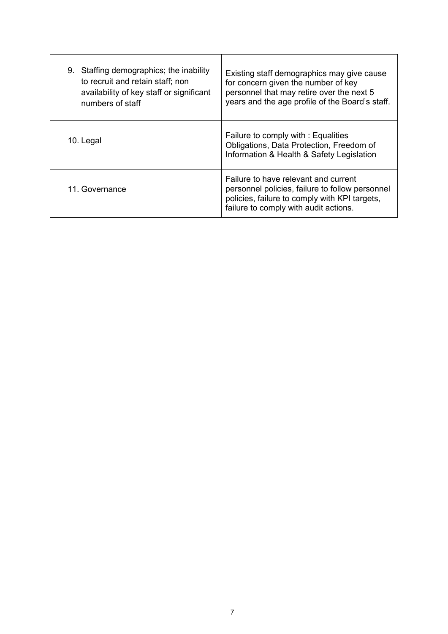| Staffing demographics; the inability<br>9.<br>to recruit and retain staff; non<br>availability of key staff or significant<br>numbers of staff | Existing staff demographics may give cause<br>for concern given the number of key<br>personnel that may retire over the next 5<br>years and the age profile of the Board's staff. |
|------------------------------------------------------------------------------------------------------------------------------------------------|-----------------------------------------------------------------------------------------------------------------------------------------------------------------------------------|
| 10. Legal                                                                                                                                      | Failure to comply with: Equalities<br>Obligations, Data Protection, Freedom of<br>Information & Health & Safety Legislation                                                       |
| 11. Governance                                                                                                                                 | Failure to have relevant and current<br>personnel policies, failure to follow personnel<br>policies, failure to comply with KPI targets,<br>failure to comply with audit actions. |

 $\mathbf{r}$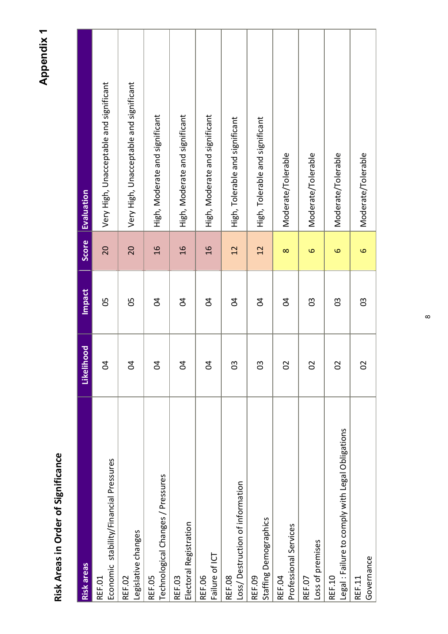Risk Areas in Order of Significance **Risk Areas in Order of Significance** 

**Appendix 1 Appendix 1** 

| <b>Risk areas</b>                                                 | Likelihood     | <b>Impact</b>  | <b>Score</b>      | <b>Evaluation</b>                       |
|-------------------------------------------------------------------|----------------|----------------|-------------------|-----------------------------------------|
| Economic stability/Financial Pressures<br>REF.01                  | $\overline{0}$ | 05             | 20                | Very High, Unacceptable and significant |
| Legislative changes<br>REF.02                                     | $\overline{0}$ | 05             | 20                | Very High, Unacceptable and significant |
| Technological Changes / Pressures<br>REF.05                       | $\overline{0}$ | $\overline{5}$ | $\frac{1}{6}$     | High, Moderate and significant          |
| Electoral Registration<br>REF.03                                  | $\overline{0}$ | $\overline{5}$ | $\frac{1}{6}$     | High, Moderate and significant          |
| Failure of ICT<br><b>REF.06</b>                                   | $\overline{0}$ | <b>Z</b>       | $\frac{6}{1}$     | High, Moderate and significant          |
| Loss/ Destruction of information<br>REF.08                        | 30             | $\overline{5}$ | 12                | High, Tolerable and significant         |
| Staffing Demographics<br><b>REF.09</b>                            | 03             | $\overline{5}$ | 12                | High, Tolerable and significant         |
| Professional Services<br>REF.04                                   | 02             | $\overline{5}$ | $\infty$          | Moderate/Tolerable                      |
| Loss of premises<br>REF.07                                        | $\overline{0}$ | 3              | 9                 | Moderate/Tolerable                      |
| Legal : Failure to comply with Legal Obligations<br><b>REF.10</b> | 02             | 03             | $\mathbf{\Omega}$ | Moderate/Tolerable                      |
| Governance<br>REF.11                                              | $\overline{0}$ | 89             | $\mathbf  \omega$ | Moderate/Tolerable                      |

 $\infty$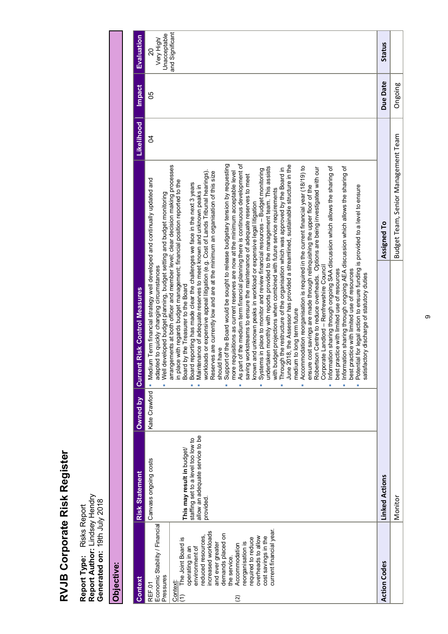| ֠<br>ı<br>١ |
|-------------|
| I<br>۱      |
|             |
| İ           |
|             |

Report Type: Risks Report<br>Report Author: Lindsey Hendry<br>Generated on: 19th July 2018 **Report Author:** Lindsey Hendry **Generated on:** 19th July 2018 **Report Type:** Risks Report

# Objective: **Objective:**

| <b>Context</b>                                                                                                                                                                                                                                                                                                                                                                               | <b>Risk Statement</b>                                                                                                                    | Owned by      | <b>Current Risk Control Measures</b>                                                                                                                                                                                                                                                                                                                                                                                                                                                                                                                                                                                                                                                                                                                                                                                                                                                                                                                                                                                                                                                                                                                                                                                                                                                                                                                                                                                                                                                                                                                                                                                                                                                                                                                                                                                                                                                                                                                                                                                                                                                                                                                                                                                                                                                                                                                              |                                     | Likelihood | <b>Impact</b> | Evaluation                                          |
|----------------------------------------------------------------------------------------------------------------------------------------------------------------------------------------------------------------------------------------------------------------------------------------------------------------------------------------------------------------------------------------------|------------------------------------------------------------------------------------------------------------------------------------------|---------------|-------------------------------------------------------------------------------------------------------------------------------------------------------------------------------------------------------------------------------------------------------------------------------------------------------------------------------------------------------------------------------------------------------------------------------------------------------------------------------------------------------------------------------------------------------------------------------------------------------------------------------------------------------------------------------------------------------------------------------------------------------------------------------------------------------------------------------------------------------------------------------------------------------------------------------------------------------------------------------------------------------------------------------------------------------------------------------------------------------------------------------------------------------------------------------------------------------------------------------------------------------------------------------------------------------------------------------------------------------------------------------------------------------------------------------------------------------------------------------------------------------------------------------------------------------------------------------------------------------------------------------------------------------------------------------------------------------------------------------------------------------------------------------------------------------------------------------------------------------------------------------------------------------------------------------------------------------------------------------------------------------------------------------------------------------------------------------------------------------------------------------------------------------------------------------------------------------------------------------------------------------------------------------------------------------------------------------------------------------------------|-------------------------------------|------------|---------------|-----------------------------------------------------|
| Economic Stability / Financial<br>current financial year.<br>increased workloads<br>demands placed on<br>reduced resources<br>cost savings in the<br>overheads to allow<br>equired to reduce<br>The Joint Board is<br>eorganisation is<br>and ever greater<br>Accommodation<br>environment of<br>operating in an<br>the service.<br>Pressures<br>Context:<br>REF.01<br>$\widehat{\tau}$<br>ି | allow an adequate service to be<br>staffing set to a level too low to<br>This may result in budget/<br>Canvass ongoing costs<br>provided | Kate Crawford | Support of the Board would be sought to release budgetary tension by requesting<br>As part of the medium term financial planning there is continuous development of<br>arrangements at both officer and member level; clear decision making processes<br>June 2018, the Assessor has provided a streamlined, sustainable structure in the<br>Accommodation reorganisation is required in the current financial year (18/19) to<br>Information sharing through ongoing SAA discussion which allows the sharing of<br>mation sharing through ongoing AEA discussion which allows the sharing of<br>undertaken monthly with reports provided to the management team. This assists<br>Robertson Centre to reduce overheads. Options are being investigated with our<br>Through the restructure of the organisation which was approved by the Board in<br>Systems in place to monitor and review financial resources - Budget monitoring<br>workloads or expensive appeal litigation (e.g. Cost of Lands Tribunal hearings).<br>more requisitions as current reserves are now at the minimum acceptable level<br>Reserves are currently low and are at the minimum an organisation of this size<br>saving workstreams to ensure the maintenance of adequate reserves to meet<br>Medium Term financial strategy well developed and continually updated and<br>in place with regards budget management; financial position reported to the<br>Board reporting has made clear the challenges we face in the next 3 years<br>Potential for legal action to ensure funding is provided to a level to ensure<br>Maintenance of adequate reserves to meet known and unknown peaks in<br>ensure cost savings are made through relinquishing the upper floor of the<br>with budget projections when combined with future service requirements<br>Well developed budget planning, budget setting and budget monitoring<br>known and unknown peaks in workload or expensive legal litigation<br>adapted to quickly changing circumstances<br>Corporate Landlord - Renfrewshire Council<br>practice with limited use of resources<br>practice with limited use of resources<br>satisfactory discharge of statutory duties<br>Board by the Treasurer to the Board<br>medium to long term future<br>should have<br>best<br>Infor<br>best<br>j.<br>Ë<br>Ė<br>ä,<br>×<br>ä,<br>ä<br>i. |                                     | S,         | 80            | and Significant<br>Unacceptable<br>Very High/<br>20 |
| <b>Action Codes</b>                                                                                                                                                                                                                                                                                                                                                                          | Linked Actions                                                                                                                           |               |                                                                                                                                                                                                                                                                                                                                                                                                                                                                                                                                                                                                                                                                                                                                                                                                                                                                                                                                                                                                                                                                                                                                                                                                                                                                                                                                                                                                                                                                                                                                                                                                                                                                                                                                                                                                                                                                                                                                                                                                                                                                                                                                                                                                                                                                                                                                                                   | Assigned To                         |            | Due Date      | <b>Status</b>                                       |
|                                                                                                                                                                                                                                                                                                                                                                                              | Monitor                                                                                                                                  |               |                                                                                                                                                                                                                                                                                                                                                                                                                                                                                                                                                                                                                                                                                                                                                                                                                                                                                                                                                                                                                                                                                                                                                                                                                                                                                                                                                                                                                                                                                                                                                                                                                                                                                                                                                                                                                                                                                                                                                                                                                                                                                                                                                                                                                                                                                                                                                                   | Budget Team, Senior Management Team |            | Ongoing       |                                                     |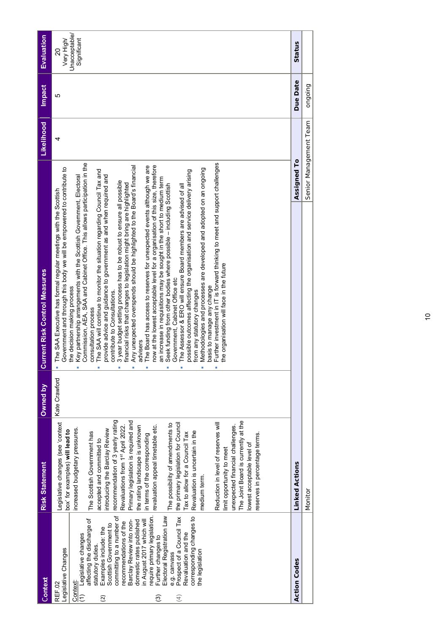| Context                                                                                                                                                                                                                                                                                                                                                                                                                                                                                                                                                         | <b>Risk Statement</b>                                                                                                                                                                                                                                                                                                                                                                                                                                                                                                                                                                                                                                                                                                                                                                                        | Owned by      | <b>Current Risk Control Measures</b>                                                                                                                                                                                                                                                                                                                                                                                                                                                                                                                                                                                                                                                                                                                                                                                                                                                                                                                                                                                                                                                                                                                                                                                                                                                                                                                                                                                                                                                                                                          |                        | Likelihood | <b>Impact</b> | Evaluation                                       |
|-----------------------------------------------------------------------------------------------------------------------------------------------------------------------------------------------------------------------------------------------------------------------------------------------------------------------------------------------------------------------------------------------------------------------------------------------------------------------------------------------------------------------------------------------------------------|--------------------------------------------------------------------------------------------------------------------------------------------------------------------------------------------------------------------------------------------------------------------------------------------------------------------------------------------------------------------------------------------------------------------------------------------------------------------------------------------------------------------------------------------------------------------------------------------------------------------------------------------------------------------------------------------------------------------------------------------------------------------------------------------------------------|---------------|-----------------------------------------------------------------------------------------------------------------------------------------------------------------------------------------------------------------------------------------------------------------------------------------------------------------------------------------------------------------------------------------------------------------------------------------------------------------------------------------------------------------------------------------------------------------------------------------------------------------------------------------------------------------------------------------------------------------------------------------------------------------------------------------------------------------------------------------------------------------------------------------------------------------------------------------------------------------------------------------------------------------------------------------------------------------------------------------------------------------------------------------------------------------------------------------------------------------------------------------------------------------------------------------------------------------------------------------------------------------------------------------------------------------------------------------------------------------------------------------------------------------------------------------------|------------------------|------------|---------------|--------------------------------------------------|
| Prospect of a Council Tax<br>equire primary legislation.<br>corresponding changes to<br>Electoral Registration Law<br>committing to a number of<br>affecting the discharge of<br>in August 2017 which will<br>Barclay Review into non-<br>domestic rates published<br>ecommendations of the<br>Scottish Government to<br>Examples include: the<br>Revaluation and the<br>Legislative changes<br>Further changes to<br>statutory duties.<br>Legislative Changes<br>the legislation<br>e.g. canvass<br><b>REF.02</b><br>Context<br>ල<br>$\widetilde{\omega}$<br>4 | recommendation of 3 yearly rating<br>Primary legislation is required and<br>The Joint Board is currently at the<br>Legislative changes (see 'context<br>the primary legislation for Council<br>Reduction in level of reserves will<br>The possibility of amendments to<br>Revaluations from 1st April 2022.<br>the rating landscape is unknown<br>revaluation appeal timetable etc.<br>unexpected financial challenges.<br>increased budgetary pressures.<br>introducing the Barclay Review<br>box' for examples) will lead to<br>Revaluation is uncertain in the<br>The Scottish Government has<br>Tax to allow for a Council Tax<br>reserves in percentage terms.<br>in terms of the corresponding<br>accepted and committed to<br>lowest acceptable level of<br>limit opportunity to meet<br>medium term. | Kate Crawford | Further investment in IT is forward thinking to meet and support challenges<br>Commission, AEA, SAA and Cabinet Office. This allows participation in the<br>now at the lowest acceptable level for a organisation of this size, therefore<br>The Board has access to reserves for unexpected events although we are<br>Any unexpected overspends should be highlighted to the Board's financial<br>Government and through this body we will be empowered to contribute to<br>Methodologies and processes are developed and adopted on an ongoing<br>The SAA will continue to monitor the situation regarding Council Tax and<br>possible outcomes affecting the organisation and service delivery arising<br>provide advice and guidance to government as and when required and<br>Key partnership arrangements with the Scottish Government, Electoral<br>an increase in requisitions may be sought in the short to medium term<br>3 year budget setting process has to be robust to ensure all possible<br>financial risks that changes to legislation might bring are highlighted<br>Seek funding from other bodies where possible - including Scottish<br>The Assessor & ERO will ensure Board members are advised of all<br>The SAA Executive has formal regular meetings with the Scottish<br>the organisation will face in the future<br>Government, Cabinet Office etc<br>basis to manage any change<br>the decision making process<br>from any statutory changes<br>contribute to Consultations.<br>consultation process<br>advisers |                        | 4          | 5             | Unacceptable/<br>Significant<br>Very High/<br>20 |
| <b>Action Codes</b>                                                                                                                                                                                                                                                                                                                                                                                                                                                                                                                                             | <b>Linked Actions</b>                                                                                                                                                                                                                                                                                                                                                                                                                                                                                                                                                                                                                                                                                                                                                                                        |               |                                                                                                                                                                                                                                                                                                                                                                                                                                                                                                                                                                                                                                                                                                                                                                                                                                                                                                                                                                                                                                                                                                                                                                                                                                                                                                                                                                                                                                                                                                                                               | Assigned To            |            | Due Date      | Status                                           |
|                                                                                                                                                                                                                                                                                                                                                                                                                                                                                                                                                                 | Monitor                                                                                                                                                                                                                                                                                                                                                                                                                                                                                                                                                                                                                                                                                                                                                                                                      |               |                                                                                                                                                                                                                                                                                                                                                                                                                                                                                                                                                                                                                                                                                                                                                                                                                                                                                                                                                                                                                                                                                                                                                                                                                                                                                                                                                                                                                                                                                                                                               | Senior Management Team |            | puiopuo       |                                                  |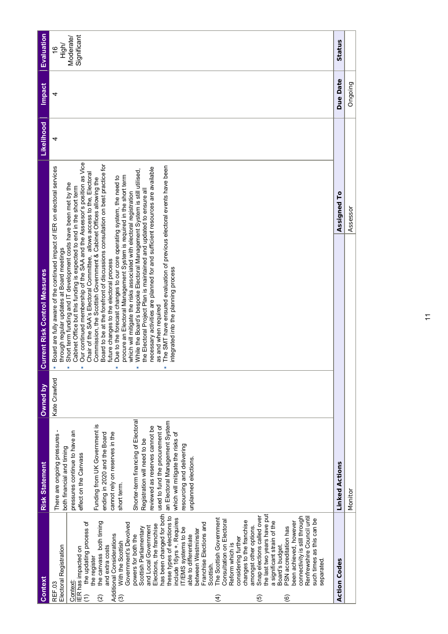| Context                                                                                                                                                                                                                                                                                                                                                                                                                                                                                                                                                                                                                                                                                                                                                                                                                                                                                                                                                                                                                                                                | <b>Risk Statement</b>                                                                                                                                                                                                                                                                                                                                                                                                                                                                                         | Owned by      | <b>Current Risk Control Measures</b>                                                                                                                                                                                                                                                                                                                                                                                                                                                                                                                                                                                                                                                                                                                                                                                                                                                                                                                                                                                                                                                                                                                                                                                            |             | Likelihood | <b>Impact</b> | Evaluation                                                |
|------------------------------------------------------------------------------------------------------------------------------------------------------------------------------------------------------------------------------------------------------------------------------------------------------------------------------------------------------------------------------------------------------------------------------------------------------------------------------------------------------------------------------------------------------------------------------------------------------------------------------------------------------------------------------------------------------------------------------------------------------------------------------------------------------------------------------------------------------------------------------------------------------------------------------------------------------------------------------------------------------------------------------------------------------------------------|---------------------------------------------------------------------------------------------------------------------------------------------------------------------------------------------------------------------------------------------------------------------------------------------------------------------------------------------------------------------------------------------------------------------------------------------------------------------------------------------------------------|---------------|---------------------------------------------------------------------------------------------------------------------------------------------------------------------------------------------------------------------------------------------------------------------------------------------------------------------------------------------------------------------------------------------------------------------------------------------------------------------------------------------------------------------------------------------------------------------------------------------------------------------------------------------------------------------------------------------------------------------------------------------------------------------------------------------------------------------------------------------------------------------------------------------------------------------------------------------------------------------------------------------------------------------------------------------------------------------------------------------------------------------------------------------------------------------------------------------------------------------------------|-------------|------------|---------------|-----------------------------------------------------------|
| has been changed for both<br>the last two years have put<br>Snap elections called over<br>these types of elections to<br>connectivity is still through<br>Renfrewshire Council until<br>include 16yrs +. Requires<br>The Scottish Government<br>such times as this can be<br>Consultation on Electoral<br>changes to the franchise<br>a significant strain of the<br>the canvass both timing<br>the updating process of<br>been achieved, however<br>Franchise Elections and<br>Government's Devolved<br>Elections, the franchise<br>and Local Government<br>amongst other options.<br>Scottish Parliamentary<br>PSN accreditation has<br>T/EMS systems to be<br>between Westminster<br>Additional Considerations<br>able to differentiate<br>powers for both the<br>considering further<br>With the Scottish<br>Reform which is<br>Board's budget.<br>Electoral Registration<br>and extra costs<br>IER has impacted on<br>the register<br>separated.<br>Scottish.<br>Context:<br>REF.03<br>$\widehat{C}$<br>$\widehat{\mathcal{E}}$<br>(5)<br>ି<br>$\widehat{A}$<br>ම | Shorter-term financing of Electoral<br>an Electoral Management System<br>Funding from UK Government is<br>reviewed as reserves cannot be<br>used to fund the procurement of<br>There are ongoing pressures -<br>pressures continue to have an<br>cannot rely on reserves in the<br>which will mitigate the risks of<br>ending in 2020 and the Board<br>Registration will need to be<br>resourcing and delivering<br>both financial and timing<br>effect on the Canvass<br>unplanned elections.<br>short term. | Kate Crawford | Our continued membership of the SAA and the Assessor's position as Vice<br>Board to be at the forefront of discussions consultation on best practice for<br>The SMT have ensured evaluation of previous electoral events have been<br>Board are fully aware of the continued impact of IER on electoral services<br>necessary activities are planned for and sufficient resources are available<br>While the Board's bespoke Electoral Management System is still utilised,<br>Chair of the SAA's Electoral Committee, allows access to the, Electoral<br>procure an Electoral Management System is required in the short term<br>Due to the forecast changes to our core operating system, the need to<br>Commission, the Scottish Government & Cabinet Offices allowing the<br>Short term funding and IT development costs have been met by the<br>Cabinet Office but this funding is expected to end in the short term<br>the Electoral Project Plan is maintained and updated to ensure all<br>which will mitigate the risks associated with electoral registration<br>through regular updates at Board meetings<br>future changes to the electoral process<br>integrated into the planning process<br>as and when required |             | 4          | 4             | Significant<br>Moderate/<br>High/<br>$\overset{\circ}{=}$ |
| <b>Action Codes</b>                                                                                                                                                                                                                                                                                                                                                                                                                                                                                                                                                                                                                                                                                                                                                                                                                                                                                                                                                                                                                                                    | <b>Linked Actions</b>                                                                                                                                                                                                                                                                                                                                                                                                                                                                                         |               |                                                                                                                                                                                                                                                                                                                                                                                                                                                                                                                                                                                                                                                                                                                                                                                                                                                                                                                                                                                                                                                                                                                                                                                                                                 | Assigned To |            | Due Date      | Status                                                    |
|                                                                                                                                                                                                                                                                                                                                                                                                                                                                                                                                                                                                                                                                                                                                                                                                                                                                                                                                                                                                                                                                        | Monitor                                                                                                                                                                                                                                                                                                                                                                                                                                                                                                       |               |                                                                                                                                                                                                                                                                                                                                                                                                                                                                                                                                                                                                                                                                                                                                                                                                                                                                                                                                                                                                                                                                                                                                                                                                                                 | Assessor    |            | Ongoing       |                                                           |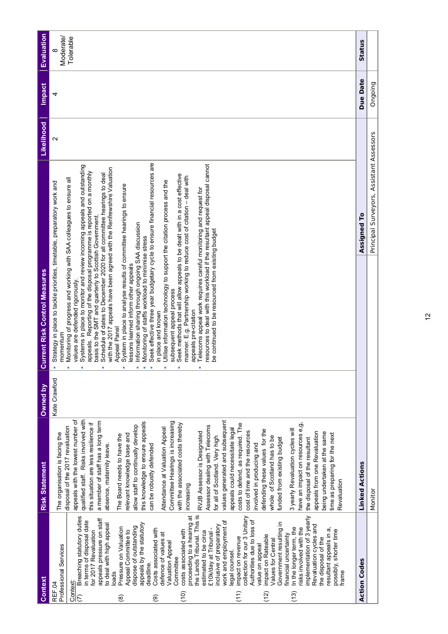| Context                                                                                                                                                                                                                                                                                                                                                                                                                                                                                                                                                                                                                                                                                                                                                                                                                                                                                                                                                                                                                                                                                   | <b>Risk Statement</b>                                                                                                                                                                                                                                                                                                                                                                                                                                                                                                                                                                                                                                                                                                                                                                                                                                                                                                                                                                                                                                                                                                        | Owned by      | <b>Current Risk Control Measures</b>                                                                                                                                                                                                                                                                                                                                                                                                                                                                                                                                                                                                                                                                                                                                                                                                                                                                                                                                                                                                                                                                                                                                                                                                                                                                                 |                                          | Likelihood        | <b>Impact</b> | Evaluation |
|-------------------------------------------------------------------------------------------------------------------------------------------------------------------------------------------------------------------------------------------------------------------------------------------------------------------------------------------------------------------------------------------------------------------------------------------------------------------------------------------------------------------------------------------------------------------------------------------------------------------------------------------------------------------------------------------------------------------------------------------------------------------------------------------------------------------------------------------------------------------------------------------------------------------------------------------------------------------------------------------------------------------------------------------------------------------------------------------|------------------------------------------------------------------------------------------------------------------------------------------------------------------------------------------------------------------------------------------------------------------------------------------------------------------------------------------------------------------------------------------------------------------------------------------------------------------------------------------------------------------------------------------------------------------------------------------------------------------------------------------------------------------------------------------------------------------------------------------------------------------------------------------------------------------------------------------------------------------------------------------------------------------------------------------------------------------------------------------------------------------------------------------------------------------------------------------------------------------------------|---------------|----------------------------------------------------------------------------------------------------------------------------------------------------------------------------------------------------------------------------------------------------------------------------------------------------------------------------------------------------------------------------------------------------------------------------------------------------------------------------------------------------------------------------------------------------------------------------------------------------------------------------------------------------------------------------------------------------------------------------------------------------------------------------------------------------------------------------------------------------------------------------------------------------------------------------------------------------------------------------------------------------------------------------------------------------------------------------------------------------------------------------------------------------------------------------------------------------------------------------------------------------------------------------------------------------------------------|------------------------------------------|-------------------|---------------|------------|
| Professional Services<br>REF.04                                                                                                                                                                                                                                                                                                                                                                                                                                                                                                                                                                                                                                                                                                                                                                                                                                                                                                                                                                                                                                                           | The organisation is facing the                                                                                                                                                                                                                                                                                                                                                                                                                                                                                                                                                                                                                                                                                                                                                                                                                                                                                                                                                                                                                                                                                               | Kate Crawford | Strategy in place to tackle priorities, timetable, preparatory work and<br>momentum                                                                                                                                                                                                                                                                                                                                                                                                                                                                                                                                                                                                                                                                                                                                                                                                                                                                                                                                                                                                                                                                                                                                                                                                                                  |                                          | $\mathbf{\Omega}$ | 4             | Moderate/  |
| the Lands Tribunal. This is<br>implementation of 3 yearly<br>proceeding to a hearing at<br>Breaching statutory duties<br>collection for our 3 Unitary<br>appeals pressure on staff<br>Authorities due to loss of<br>in terms of disposal date<br>work and employment of<br>Government resulting in<br>to deal with high appeal<br>appeals by the statutory<br>inclusive of preparatory<br>Revaluation cycles and<br>dispose of outstanding<br>risks involved with the<br>Pressure on Valuation<br>In the longer term, the<br>£10k/day at Tribunal -<br>Costs associated with<br>resultant appeals in a,<br>for 2017 Revaluation<br>costs associated with<br>possibly, shorter time<br>Appeal Committee to<br>estimated to be circa<br>defence of values at<br>financial uncertainty<br>impact on Rateable<br>the disposal of the<br>impact on revenue<br><b>Values for Central</b><br><b>Valuation Appeal</b><br>value on appeal<br>egal counsel.<br>Committee<br>deadline.<br>oads<br>frame<br>Context:<br>(11)<br>(10)<br>(13)<br>$\widetilde{2}$<br>$\overline{C}$<br>$\circledR$<br>ම | qualified staff. Risks involved with<br>values generated and subsequent<br>appeals with the lowest number of<br>a member of staff has a long term<br>Committee Hearings is increasing<br>this knowledge to ensure appeals<br>this situation are less resilience if<br>with the associated costs thereby<br>have an impact on resources e,g,<br>costs to defend, as required. The<br>allow staff to continually develop<br>Assessor dealing with Telecoms<br>disposal of the 2017 revaluation<br>Attendance at Valuation Appeal<br>appeals could necessitate legal<br>defending these values for the<br>3 yearly Revaluation cycles will<br>cost of time and the resources<br>RVJB Assessor is Designated<br>appeals from one Revaluation<br>being undertaken at the same<br>time as preparing for the next<br>relevant knowledge base and<br>The Board needs to have the<br>whole of Scotland has to be<br>for all of Scotland. Very high<br>funded from existing budget<br>the disposal of the resultant<br>involved in producing and<br>absence, maternity leave.<br>can be robustly defended<br>Revaluation<br>increasing |               | Seek effective three year budgetary cycle to ensure financial resources are<br>resources to deal with this workload if the resultant appeal disposal cannot<br>Systems in place to monitor and review incoming appeals and outstanding<br>with the 2017 appeals have been agreed with the Renfrewshire Valuation<br>appeals. Reporting of the disposal programme is reported on a monthly<br>Schedule of dates to December 2020 for all committee hearings to deal<br>Seek methods that will allow appeals to be dealt with in a cost effective<br>manner. E.g. Partnership working to reduce cost of citation - deal with<br>Monitoring of progress and working with SAA colleagues to ensure all<br>Utilise information technology to support the citation process and the<br>System in place to analyse results of committee hearings to ensure<br>Telecoms appeal work requires careful monitoring and request for<br>basis to the SMT and quarterly to Scottish Government.<br>Information sharing through ongoing SAA discussion<br>be continued to be resourced from existing budget<br>Monitoring of staffs workload to minimise stress<br>lessons learned inform other appeals<br>values are defended rigorously<br>subsequent appeal process<br>appeals pre-citation<br>in place and known<br>Appeal Panel |                                          |                   |               | Tolerable  |
| <b>Action Codes</b>                                                                                                                                                                                                                                                                                                                                                                                                                                                                                                                                                                                                                                                                                                                                                                                                                                                                                                                                                                                                                                                                       | <b>Linked Actions</b>                                                                                                                                                                                                                                                                                                                                                                                                                                                                                                                                                                                                                                                                                                                                                                                                                                                                                                                                                                                                                                                                                                        |               |                                                                                                                                                                                                                                                                                                                                                                                                                                                                                                                                                                                                                                                                                                                                                                                                                                                                                                                                                                                                                                                                                                                                                                                                                                                                                                                      | Assigned To                              |                   | Due Date      | Status     |
|                                                                                                                                                                                                                                                                                                                                                                                                                                                                                                                                                                                                                                                                                                                                                                                                                                                                                                                                                                                                                                                                                           | Monitor                                                                                                                                                                                                                                                                                                                                                                                                                                                                                                                                                                                                                                                                                                                                                                                                                                                                                                                                                                                                                                                                                                                      |               |                                                                                                                                                                                                                                                                                                                                                                                                                                                                                                                                                                                                                                                                                                                                                                                                                                                                                                                                                                                                                                                                                                                                                                                                                                                                                                                      | Principal Surveyors, Assistant Assessors |                   | Ongoing       |            |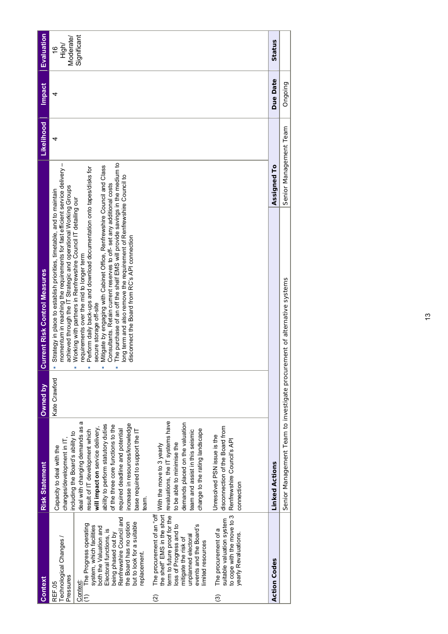| <b>Context</b>                                                                                                                                                                                                                                                                                    | <b>Risk Statement</b>                                                                                                                                                                                                                                                                                                                                                                                  | Owned by      | <b>Current Risk Control Measures</b>                                                                                                                                                                                                                                                                                                                                                                                                                                                                                                                                                                                                                                                                                                                                                                   |                        | Likelihood | <b>Impact</b> | <b>Evaluation</b>                                  |
|---------------------------------------------------------------------------------------------------------------------------------------------------------------------------------------------------------------------------------------------------------------------------------------------------|--------------------------------------------------------------------------------------------------------------------------------------------------------------------------------------------------------------------------------------------------------------------------------------------------------------------------------------------------------------------------------------------------------|---------------|--------------------------------------------------------------------------------------------------------------------------------------------------------------------------------------------------------------------------------------------------------------------------------------------------------------------------------------------------------------------------------------------------------------------------------------------------------------------------------------------------------------------------------------------------------------------------------------------------------------------------------------------------------------------------------------------------------------------------------------------------------------------------------------------------------|------------------------|------------|---------------|----------------------------------------------------|
| Renfrewshire Council and<br>but to look for a suitable<br>the Board has no option<br>The Progress operating<br>system, which facilities<br>both the Valuation and<br>Electoral functions, is<br>being phased out by<br>Technological Changes /<br>replacement.<br>Pressures<br>Context:<br>REF.05 | σ<br>increase in resources/knowledge<br>ability to perform statutory duties<br>of the three core functions to the<br>deal with changing demands as<br>will impact on service delivery,<br>required deadline and potential<br>result of IT development which<br>base required to support the IT<br>including the Board's ability to<br>changes/development in IT,<br>Capacity to deal with the<br>team. | Kate Crawford | The purchase of an off the shelf EMS will provide savings in the medium to<br>momentum in reaching the requirements for fast efficient service delivery -<br>Mitigate by engaging with Cabinet Office, Renfrewshire Council and Class<br>Perform daily back-ups and download documentation onto tapes/disks for<br>long term and also remove the requirement of Renfrewshire Council to<br>Consultants. Retain current reserves to off-set any additional costs<br>achieved through the IT Strategic and operational Working Groups<br>Strategy in place to establish priorities, timetable, and to maintain<br>Working with partners in Renfrewshire Council IT detailing our<br>disconnect the Board from RC's API connection<br>requirements over the mid to longer term<br>secure storage off-site |                        | 4          | 4             | Significant<br>Moderate/<br>High/<br>$\frac{6}{5}$ |
| term to future proof for the<br>to cope with the move to 3<br>suitable valuation system<br>loss of Progress and to<br>events and the Board's<br>The procurement of a<br>yearly Revaluations.<br>unplanned electoral<br>mitigate the risk of<br>limited resources<br>ම<br>ହି                       | revaluations, the IT systems have<br>demands placed on the valuation<br>disconnection of the Board from<br>change to the rating landscape<br>team and assist in this seismic<br>Unresolved PSN issue is the<br>Renfrewshire Council's API<br>to be able to minimise the<br>The procurement of an "off with the move to 3 yearly<br>he shelf' EMS in the short with the move to 3 yearly<br>connection  |               |                                                                                                                                                                                                                                                                                                                                                                                                                                                                                                                                                                                                                                                                                                                                                                                                        |                        |            |               |                                                    |
| <b>Action Codes</b>                                                                                                                                                                                                                                                                               | <b>Linked Actions</b>                                                                                                                                                                                                                                                                                                                                                                                  |               |                                                                                                                                                                                                                                                                                                                                                                                                                                                                                                                                                                                                                                                                                                                                                                                                        | Assigned To            |            | Due Date      | Status                                             |
|                                                                                                                                                                                                                                                                                                   | Senior Management Team to investigate procur                                                                                                                                                                                                                                                                                                                                                           |               | rement of alternative systems                                                                                                                                                                                                                                                                                                                                                                                                                                                                                                                                                                                                                                                                                                                                                                          | Senior Management Team |            | Ongoing       |                                                    |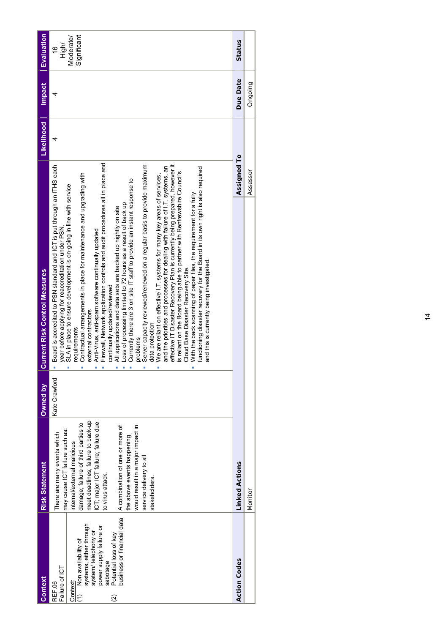| <b>Context</b>                                                                                                                                                                                                                         | <b>Risk Statement</b>                                                                                                                                                                                                                                                                                                                                                                 | Owned by      | <b>Current Risk Control Measures</b>                                                                                                                                                                                                                                                                                                                                                                                                                                                                                                                                                                                                                                                                                                                                                                                                                                                                                                                                                                                                                                                                                                                                                                                                                                                                                                                                               |             | <b>Likelihood</b> | <b>Impact</b> | Evaluation                                         |
|----------------------------------------------------------------------------------------------------------------------------------------------------------------------------------------------------------------------------------------|---------------------------------------------------------------------------------------------------------------------------------------------------------------------------------------------------------------------------------------------------------------------------------------------------------------------------------------------------------------------------------------|---------------|------------------------------------------------------------------------------------------------------------------------------------------------------------------------------------------------------------------------------------------------------------------------------------------------------------------------------------------------------------------------------------------------------------------------------------------------------------------------------------------------------------------------------------------------------------------------------------------------------------------------------------------------------------------------------------------------------------------------------------------------------------------------------------------------------------------------------------------------------------------------------------------------------------------------------------------------------------------------------------------------------------------------------------------------------------------------------------------------------------------------------------------------------------------------------------------------------------------------------------------------------------------------------------------------------------------------------------------------------------------------------------|-------------|-------------------|---------------|----------------------------------------------------|
| business or financial data<br>systems, either through<br>power supply failure or<br>system/telephony or<br>Potential loss of key<br>Non availability of<br>sabotage<br>Failure of ICT<br>Context:<br>REF.06<br>Ξ<br>$\widehat{\Omega}$ | meet deadlines; failure to back-up<br>CT; major ICT failure; failure due<br>damage; failure of third parties to<br>A combination of one or more of<br>would result in a major impact in<br>may cause ICT failure such as:<br>There are many events which<br>the above events happening<br>internal/external malicious<br>service delivery to all<br>to virus attack.<br>stakeholders. | Kate Crawford | Firewall, Network application controls and audit procedures all in place and<br>effective IT Disaster Recovery Plan is currently being prepared, however it<br>Board is accredited to PSN standard and ICT is put through an ITHS each<br>Server capacity reviewed/renewed on a regular basis to provide maximum<br>and the priorities and processes for dealing with failure of I.T. systems, an<br>functioning disaster recovery for the Board in its own right is also required<br>is reliant on the Board being able to partner with Renfrewshire Council's<br>Contractual arrangements in place for maintenance and upgrading with<br>We are reliant on effective I.T. systems for many key areas of services,<br>Currently there are 3 on site IT staff to provide an instant response to<br>SLA in place to ensure development is on-going in line with service<br>With the back scanning of paper files, the requirement for a fully<br>Loss of processing limited to 72 hours as a result of back up<br>All applications and data sets are backed up nightly on site<br>year before applying for reaccreditation under PSN<br>Anti-Virus, anti-spam software continually updated<br>and this is currently being investigated<br>Cloud Base Disaster Recovery Site.<br>continually updated/reviewed<br>external contractors<br>data protection<br>requirements<br>problems |             | 4                 | 4             | Significant<br>Moderate/<br>High/<br>$\frac{6}{5}$ |
| <b>Action Codes</b>                                                                                                                                                                                                                    | <b>Linked Actions</b>                                                                                                                                                                                                                                                                                                                                                                 |               |                                                                                                                                                                                                                                                                                                                                                                                                                                                                                                                                                                                                                                                                                                                                                                                                                                                                                                                                                                                                                                                                                                                                                                                                                                                                                                                                                                                    | Assigned To |                   | Due Date      | Status                                             |
|                                                                                                                                                                                                                                        | Monitor                                                                                                                                                                                                                                                                                                                                                                               |               |                                                                                                                                                                                                                                                                                                                                                                                                                                                                                                                                                                                                                                                                                                                                                                                                                                                                                                                                                                                                                                                                                                                                                                                                                                                                                                                                                                                    | Assessor    |                   | Ongoing       |                                                    |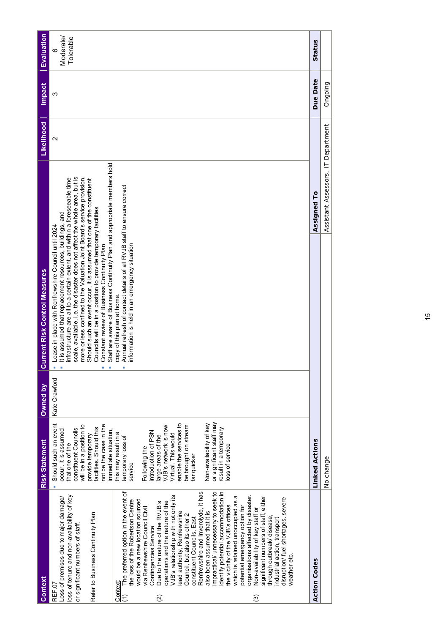| Context                                                                                                                                                                                                                                                                                                                                                                                                                                                                                                                                                                                                                                                                                                                                                                                                                                                                                                                                                                                                                                                                                                                  | <b>Risk Statement</b>                                                                                                                                                                                                                                                                                                                                                                                                                                                                                                                                         | Owned by      | <b>Current Risk Control Measures</b>                                                                                                                                                                                                                                                                                                                                                                                                                                                                                                                                                                                                                                                                                                                                                |                                    | Likelihood        | Impact   | <b>Evaluation</b>           |
|--------------------------------------------------------------------------------------------------------------------------------------------------------------------------------------------------------------------------------------------------------------------------------------------------------------------------------------------------------------------------------------------------------------------------------------------------------------------------------------------------------------------------------------------------------------------------------------------------------------------------------------------------------------------------------------------------------------------------------------------------------------------------------------------------------------------------------------------------------------------------------------------------------------------------------------------------------------------------------------------------------------------------------------------------------------------------------------------------------------------------|---------------------------------------------------------------------------------------------------------------------------------------------------------------------------------------------------------------------------------------------------------------------------------------------------------------------------------------------------------------------------------------------------------------------------------------------------------------------------------------------------------------------------------------------------------------|---------------|-------------------------------------------------------------------------------------------------------------------------------------------------------------------------------------------------------------------------------------------------------------------------------------------------------------------------------------------------------------------------------------------------------------------------------------------------------------------------------------------------------------------------------------------------------------------------------------------------------------------------------------------------------------------------------------------------------------------------------------------------------------------------------------|------------------------------------|-------------------|----------|-----------------------------|
| The preferred option in the event of<br>dentify potential accommodation in<br>Renfrewshire and Inverclyde, it has<br>impractical/ unnecessary to seek to<br>/JB's relationship with not only its<br>propanisations affected by disaster.<br>loss of tenure and non-availability of key<br>σ<br>Loss of premises due to major damage/<br>significant numbers of staff, either<br>disruption/ fuel shortages, severe<br>the loss of the Robertson Centre<br>would be a new location sourced<br>perations and the nature of the<br>which is retained unoccupied as<br>Due to the nature of the RVJB's<br>the vicinity of the VJB's offices<br>potential emergency option for<br>via Renfrewshire Council Civil<br>Von-availability of key staff or<br>also been assumed that it is<br>ead authority, Renfrewshire<br>Refer to Business Continuity Plan<br>Council, but also its other 2<br>hrough outbreak/ disease,<br>constituent Councils, East<br>ndustrial action, transport<br>or significant numbers of staff.<br>Contingencies Service<br>weather etc.<br>Context<br>REF <sub>07</sub><br>$\widehat{E}$<br>ତ୍ର<br>⊚ | or significant staff may<br>Should such an event<br>enable the services to<br>Non-availability of key<br>be brought on stream<br>not be the case in the<br>will be in a position to<br>VJB's network is now<br>facilities. Should this<br>constituent Councils<br>result in a temporary<br>immediate situation.<br>occur, it is assumed<br>introduction of PSN<br>this may result in a<br>Virtual. This would<br>provide temporary<br>large areas of the<br>temporary loss of<br>that one of the<br>oss of service<br>Following the<br>far quicker<br>service | Kate Crawford | Staff are aware of Business Continuity Plan and appropriate members hold<br>scale, available, i.e. the disaster does not affect the whole area, but is<br>more or less confined to the Valuation Joint Board's service provision.<br>infrastructure are all to a certain extent, and within a foreseeable time<br>Should such an event occur, it is assumed that one of the constituent<br>Annual refresh of contact details of all RVJB staff to ensure correct<br>Councils will be in a position to provide temporary facilities<br>It is assumed that replacement resources, buildings, and<br>Lease in place with Renfrewshire Council until 2024<br>Constant review of Business Continuity Plan<br>information is held in an emergency situation<br>copy of this plan at home. |                                    | $\mathbf{\Omega}$ | ო        | Moderate/<br>Tolerable<br>ဖ |
| <b>Action Codes</b>                                                                                                                                                                                                                                                                                                                                                                                                                                                                                                                                                                                                                                                                                                                                                                                                                                                                                                                                                                                                                                                                                                      | <b>Linked Actions</b>                                                                                                                                                                                                                                                                                                                                                                                                                                                                                                                                         |               |                                                                                                                                                                                                                                                                                                                                                                                                                                                                                                                                                                                                                                                                                                                                                                                     | Assigned To                        |                   | Due Date | Status                      |
|                                                                                                                                                                                                                                                                                                                                                                                                                                                                                                                                                                                                                                                                                                                                                                                                                                                                                                                                                                                                                                                                                                                          | No change                                                                                                                                                                                                                                                                                                                                                                                                                                                                                                                                                     |               |                                                                                                                                                                                                                                                                                                                                                                                                                                                                                                                                                                                                                                                                                                                                                                                     | Assistant Assessors, IT Department |                   | Ongoing  |                             |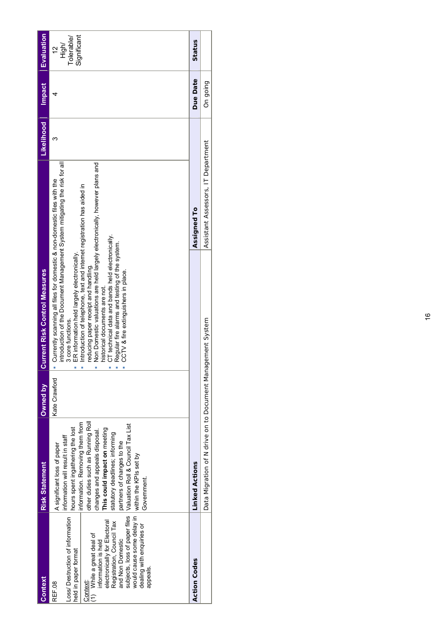| Context                                                                                                                                                                                                                                                                                                                 | <b>Risk Statement</b>                                                                                                                                                                                                                                                                                                                                                                           | Owned by      | <b>Current Risk Control Measures</b>                                                                                                                                                                                                                                                                                                                                                                                                                                                                                                                                                                    |                                    | <b>Likelihood</b> | <b>Impact</b> | <b>Evaluation</b>                                   |
|-------------------------------------------------------------------------------------------------------------------------------------------------------------------------------------------------------------------------------------------------------------------------------------------------------------------------|-------------------------------------------------------------------------------------------------------------------------------------------------------------------------------------------------------------------------------------------------------------------------------------------------------------------------------------------------------------------------------------------------|---------------|---------------------------------------------------------------------------------------------------------------------------------------------------------------------------------------------------------------------------------------------------------------------------------------------------------------------------------------------------------------------------------------------------------------------------------------------------------------------------------------------------------------------------------------------------------------------------------------------------------|------------------------------------|-------------------|---------------|-----------------------------------------------------|
| would cause some delay in  within the KPIs set by<br>Loss/ Destruction of information<br>electronically for Electoral<br>Registration, Council Tax<br>dealing with enquiries or<br>(1) While a great deal of<br>and Non Domestic<br>information is held<br>held in paper format<br>appeals<br>Context:<br><b>REF.08</b> | other duties such as Running Roll<br>information. Removing them from<br>subjects, loss of paper files  Valuation Roll & Council Tax List<br>hours spent ingathering the lost<br>This could impact on meeting<br>changes and appeals disposal.<br>statutory deadlines; informing<br>information will result in staff<br>partners of changes to the<br>A significant loss of paper<br>Government. | Kate Crawford | introduction of the Document Management System mitigating the risk for all<br>Non Domestic valuations are held largely electronically, however plans and<br>Currently scanning all files for domestic & non-domestic files with the<br>Introduction of telephone, text and internet registration has aided in<br>CT technical data and bands held electronically.<br>Regular fire alarms and testing of the system.<br>ER information held largely electronically.<br>reducing paper receipt and handling.<br>CCTV & fire extinguishers in place.<br>historical documents are not.<br>3 core functions. |                                    | ო                 |               | Significant<br>Tolerable/<br>High/<br>$\frac{1}{2}$ |
| <b>Action Codes</b>                                                                                                                                                                                                                                                                                                     | <b>Linked Actions</b>                                                                                                                                                                                                                                                                                                                                                                           |               |                                                                                                                                                                                                                                                                                                                                                                                                                                                                                                                                                                                                         | Assigned To                        |                   | Due Date      | Status                                              |
|                                                                                                                                                                                                                                                                                                                         | Data Migration of N drive on to Document Management System                                                                                                                                                                                                                                                                                                                                      |               |                                                                                                                                                                                                                                                                                                                                                                                                                                                                                                                                                                                                         | Assistant Assessors, IT Department |                   | On going      |                                                     |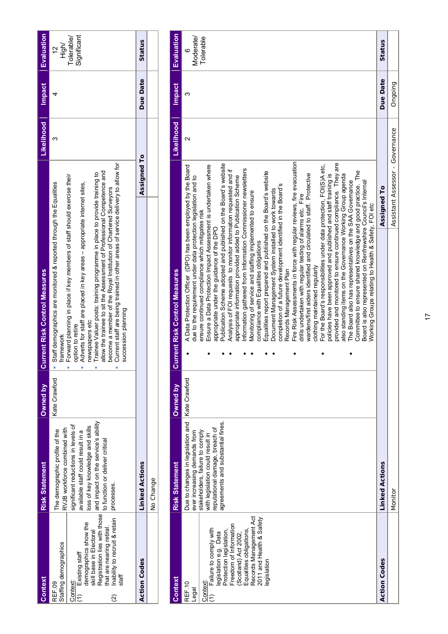| <b>Context</b>                                                                                                                                                                                                                                                        | <b>Risk Statement</b>                                                                                                                                                                                                                                                 | Owned by      | <b>Current Risk Control Measures</b>                                                                                                                                                                                                                                                                                                                                                                                                                                                                                                                                                                           |             | Likelihood | <b>Impact</b> | <b>Evaluation</b>                                 |
|-----------------------------------------------------------------------------------------------------------------------------------------------------------------------------------------------------------------------------------------------------------------------|-----------------------------------------------------------------------------------------------------------------------------------------------------------------------------------------------------------------------------------------------------------------------|---------------|----------------------------------------------------------------------------------------------------------------------------------------------------------------------------------------------------------------------------------------------------------------------------------------------------------------------------------------------------------------------------------------------------------------------------------------------------------------------------------------------------------------------------------------------------------------------------------------------------------------|-------------|------------|---------------|---------------------------------------------------|
| Registration lies with those<br>Inability to recruit & retain<br>demographics show the<br>that are nearing retiral.<br>skill base in Electoral<br>Staffing demographics<br>$(1)$ Existing staff<br>staff<br>Context:<br>REF.09<br>$\frac{\mathfrak{D}}{\mathfrak{D}}$ | and impact on the service's ability<br>significant reductions in levels of<br>oss of key knowledge and skills<br>RVJB workforce combined with<br>The demographic profile of the<br>available staff could result in a<br>to function or deliver critical<br>processes. | Kate Crawford | Current staff are being trained in other areas of service delivery to allow for<br>allow the trainee to sit the Assessment of Professional Competence and<br>Trainee Valuer posts: training programme in place to provide training to<br>Forward planning in place if key members of staff should exercise their<br>Staff demographics are monitored & reported through the Equalities<br>Adverts for staff are placed in key areas - appropriate internet sites,<br>become a member of the Royal Institution of Chartered Surveyors<br>succession planning<br>newspapers etc<br>option to retire<br>framework |             |            |               | Significant<br>Tolerable/<br>High/<br>$\tilde{c}$ |
| <b>Action Codes</b>                                                                                                                                                                                                                                                   | <b>Linked Actions</b>                                                                                                                                                                                                                                                 |               |                                                                                                                                                                                                                                                                                                                                                                                                                                                                                                                                                                                                                | Assigned To |            | Due Date      | Status                                            |
|                                                                                                                                                                                                                                                                       | No Change                                                                                                                                                                                                                                                             |               |                                                                                                                                                                                                                                                                                                                                                                                                                                                                                                                                                                                                                |             |            |               |                                                   |

| Context                                                                                                                                                                                                                                                   | <b>Risk Statement</b>                                                                                                                                                                                           | Owned by      | <b>Current Risk Control Measures</b>                                                                                                                                                                                                                                                                                                                                                                                                                                                                                                                                                                                                                                                                                                                                                                                                                                                                                                                                                                                                                                                                                                                                                                                                                                                                                                                                                                                                                                                                                                                                                                                                                                                 |                                 | <b>Likelihood</b> | <b>Impact</b> | Evaluation                        |
|-----------------------------------------------------------------------------------------------------------------------------------------------------------------------------------------------------------------------------------------------------------|-----------------------------------------------------------------------------------------------------------------------------------------------------------------------------------------------------------------|---------------|--------------------------------------------------------------------------------------------------------------------------------------------------------------------------------------------------------------------------------------------------------------------------------------------------------------------------------------------------------------------------------------------------------------------------------------------------------------------------------------------------------------------------------------------------------------------------------------------------------------------------------------------------------------------------------------------------------------------------------------------------------------------------------------------------------------------------------------------------------------------------------------------------------------------------------------------------------------------------------------------------------------------------------------------------------------------------------------------------------------------------------------------------------------------------------------------------------------------------------------------------------------------------------------------------------------------------------------------------------------------------------------------------------------------------------------------------------------------------------------------------------------------------------------------------------------------------------------------------------------------------------------------------------------------------------------|---------------------------------|-------------------|---------------|-----------------------------------|
| Records Management Act<br>2011 and Health & Safety<br>Freedom of Information<br>Failure to comply with<br>(Scotland) Act 2002,<br>Equalities obligations,<br>Protection legislation<br>legislation e.g. Data<br>legislation<br>Context<br>REF.10<br>Legal | Due to changes in legislation and<br>agreements and substantial fines.<br>reputational damage, breach of<br>ever increasing demands from<br>stakeholders, failure to comply<br>with legislation could result in | Kate Crawford | Fire Risk Assessments in force with regular reviews, fire evacuation<br>provided and monitored to ensure continued compliance. They are<br>Publication Scheme adopted and published on the Board's website<br>For the Board's responsibilities under data protection, FOI(S)A etc,<br>Ensure a Data Protection Impact Assessment is undertaken where<br>A Data Protection Officer (DPO) has been employed by the Board<br>nformation gathered from Information Commissioner newsletters<br>Analysis of FOI requests to monitor information requested and if<br>Committee to ensure shared knowledge and good practice. The<br>Equalities report prepared and published on the Board's website<br>wardens/first aiders identified and circulated to staff. Protective<br>policies have been approved and published and staff training is<br>also standing items on the Governance Working Group agenda<br>appropriate information provided added to Publication Scheme<br>due to the requirement under data protection legislation and to<br>The Board also has representatives on the SAA Governance<br>Board is also represented on Renfrewshire Council's Internal<br>completion of a future development identified in the Board's<br>Document Management System installed to work towards<br>Monitoring of service and staffing implemented to ensure<br>drills undertaken with regular testing of alarms etc. Fire<br>Norking Groups relating to Health & Safety, FOI etc<br>ensure continued compliance which mitigates risk<br>appropriate under the guidance of the DPO<br>compliance with Equalities obligations<br>clothing maintained regularly<br>Records Management Plan |                                 | $\sim$            | ო             | Moderate/<br>Tolerable<br>$\circ$ |
| <b>Action Codes</b>                                                                                                                                                                                                                                       | <b>Linked Actions</b>                                                                                                                                                                                           |               |                                                                                                                                                                                                                                                                                                                                                                                                                                                                                                                                                                                                                                                                                                                                                                                                                                                                                                                                                                                                                                                                                                                                                                                                                                                                                                                                                                                                                                                                                                                                                                                                                                                                                      | Assigned To                     |                   | Due Date      | Status                            |
|                                                                                                                                                                                                                                                           | Monitor                                                                                                                                                                                                         |               |                                                                                                                                                                                                                                                                                                                                                                                                                                                                                                                                                                                                                                                                                                                                                                                                                                                                                                                                                                                                                                                                                                                                                                                                                                                                                                                                                                                                                                                                                                                                                                                                                                                                                      | Assistant Assessor - Governance |                   | Ongoing       |                                   |